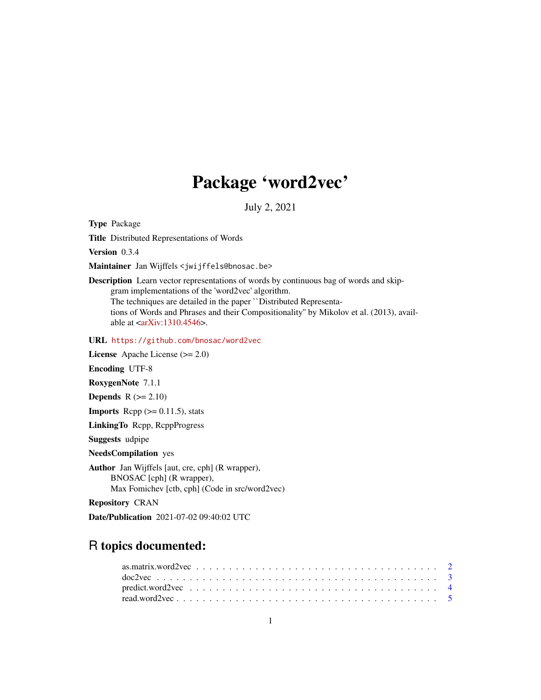## Package 'word2vec'

July 2, 2021

<span id="page-0-0"></span>Type Package

Title Distributed Representations of Words

Version 0.3.4

Maintainer Jan Wijffels <jwijffels@bnosac.be>

Description Learn vector representations of words by continuous bag of words and skipgram implementations of the 'word2vec' algorithm. The techniques are detailed in the paper ``Distributed Representations of Words and Phrases and their Compositionality'' by Mikolov et al. (2013), available at  $\langle \text{arXiv:1310.4546} \rangle$ .

URL <https://github.com/bnosac/word2vec>

License Apache License (>= 2.0)

Encoding UTF-8

RoxygenNote 7.1.1

**Depends**  $R$  ( $>= 2.10$ )

**Imports** Rcpp  $(>= 0.11.5)$ , stats

LinkingTo Rcpp, RcppProgress

Suggests udpipe

NeedsCompilation yes

Author Jan Wijffels [aut, cre, cph] (R wrapper), BNOSAC [cph] (R wrapper), Max Fomichev [ctb, cph] (Code in src/word2vec)

Repository CRAN

Date/Publication 2021-07-02 09:40:02 UTC

## R topics documented: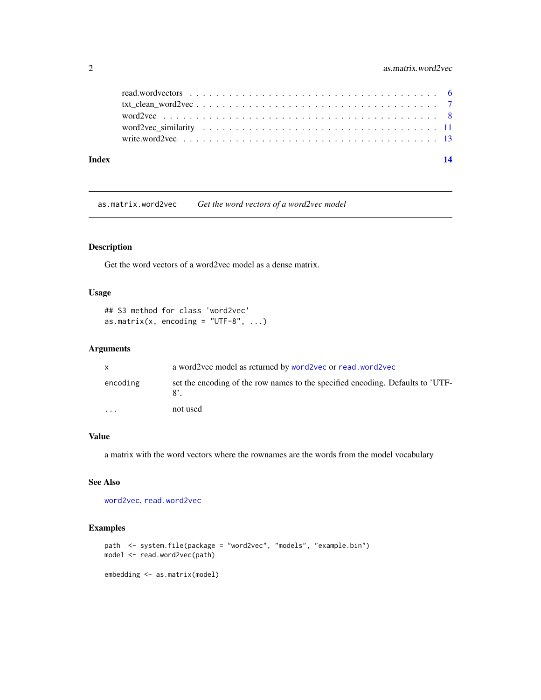<span id="page-1-0"></span>

| Index |  |
|-------|--|
|       |  |
|       |  |
|       |  |
|       |  |
|       |  |

<span id="page-1-1"></span>as.matrix.word2vec *Get the word vectors of a word2vec model*

## Description

Get the word vectors of a word2vec model as a dense matrix.

## Usage

```
## S3 method for class 'word2vec'
as.matrix(x, encoding = "UTF-8", \dots)
```
## Arguments

| X        | a word2vec model as returned by word2vec or read, word2vec                     |
|----------|--------------------------------------------------------------------------------|
| encoding | set the encoding of the row names to the specified encoding. Defaults to 'UTF- |
| $\cdots$ | not used                                                                       |

## Value

a matrix with the word vectors where the rownames are the words from the model vocabulary

## See Also

[word2vec](#page-7-1), [read.word2vec](#page-4-1)

```
path <- system.file(package = "word2vec", "models", "example.bin")
model <- read.word2vec(path)
embedding <- as.matrix(model)
```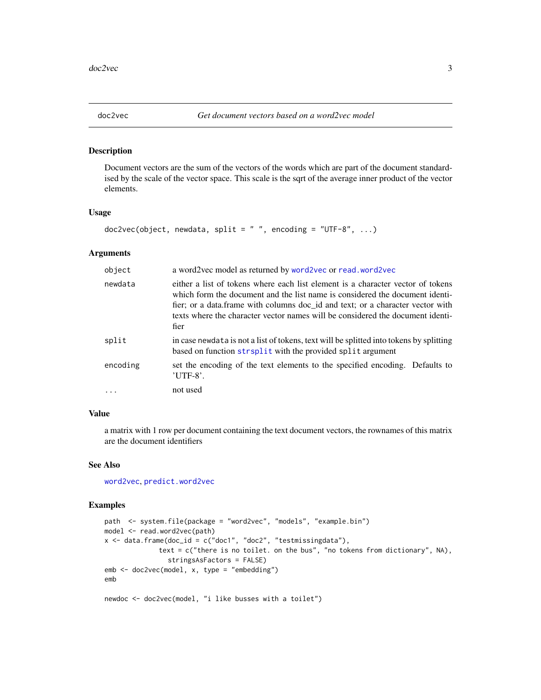<span id="page-2-0"></span>

#### Description

Document vectors are the sum of the vectors of the words which are part of the document standardised by the scale of the vector space. This scale is the sqrt of the average inner product of the vector elements.

#### Usage

```
doc2vec(object, newdata, split = "", encoding = "UTF-8", ...)
```
## Arguments

| object   | a word2vec model as returned by word2vec or read.word2vec                                                                                                                                                                                                                                                                                   |
|----------|---------------------------------------------------------------------------------------------------------------------------------------------------------------------------------------------------------------------------------------------------------------------------------------------------------------------------------------------|
| newdata  | either a list of tokens where each list element is a character vector of tokens<br>which form the document and the list name is considered the document identi-<br>fier; or a data frame with columns doc id and text; or a character vector with<br>texts where the character vector names will be considered the document identi-<br>fier |
| split    | in case newdata is not a list of tokens, text will be splitted into tokens by splitting<br>based on function strsplit with the provided split argument                                                                                                                                                                                      |
| encoding | set the encoding of the text elements to the specified encoding. Defaults to<br>$'$ UTF-8'.                                                                                                                                                                                                                                                 |
| $\cdots$ | not used                                                                                                                                                                                                                                                                                                                                    |

## Value

a matrix with 1 row per document containing the text document vectors, the rownames of this matrix are the document identifiers

#### See Also

[word2vec](#page-7-1), [predict.word2vec](#page-3-1)

```
path <- system.file(package = "word2vec", "models", "example.bin")
model <- read.word2vec(path)
x \le - data.frame(doc_id = c("doc1", "doc2", "testmissingdata"),
              text = c("there is no toilet. on the bus", "no tokens from dictionary", NA),
                stringsAsFactors = FALSE)
emb <- doc2vec(model, x, type = "embedding")
emb
newdoc <- doc2vec(model, "i like busses with a toilet")
```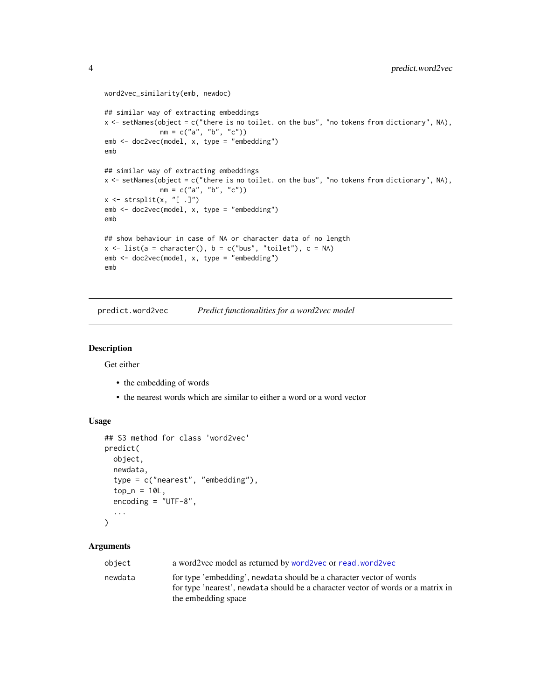```
word2vec_similarity(emb, newdoc)
## similar way of extracting embeddings
x \leftarrow setNames(object = c("there is no toilet. on the bus", "no tokens from dictionary", NA),
              nm = c("a", "b", "c")emb <- doc2vec(model, x, type = "embedding")
emb
## similar way of extracting embeddings
x \leftarrow setNames(object = c("there is no toilet. on the bus", "no tokens from dictionary", NA),
              nm = c("a", "b", "c"))
x \leftarrow \text{strsplit}(x, "[-.]")emb <- doc2vec(model, x, type = "embedding")
emb
## show behaviour in case of NA or character data of no length
x \le - list(a = character(), b = c("bus", "toilet"), c = NA)
emb <- doc2vec(model, x, type = "embedding")
emb
```
<span id="page-3-1"></span>predict.word2vec *Predict functionalities for a word2vec model*

#### Description

Get either

- the embedding of words
- the nearest words which are similar to either a word or a word vector

#### Usage

```
## S3 method for class 'word2vec'
predict(
 object,
  newdata,
  type = c("nearest", "embedding"),
  top_n = 10L,
  encoding = "UTF-8",
  ...
)
```
#### Arguments

| object  | a word2vec model as returned by word2vec or read, word2vec                                                                                                                     |
|---------|--------------------------------------------------------------------------------------------------------------------------------------------------------------------------------|
| newdata | for type 'embedding', newdata should be a character vector of words<br>for type 'nearest', newdata should be a character vector of words or a matrix in<br>the embedding space |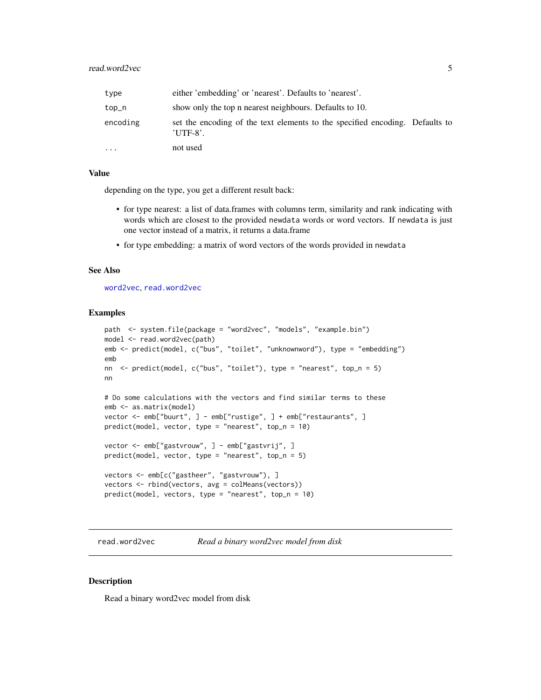<span id="page-4-0"></span>

| type      | either 'embedding' or 'nearest'. Defaults to 'nearest'.                                    |  |
|-----------|--------------------------------------------------------------------------------------------|--|
| $top_n$   | show only the top n nearest neighbours. Defaults to 10.                                    |  |
| encoding  | set the encoding of the text elements to the specified encoding. Defaults to<br>$'UTF-8'.$ |  |
| $\ddotsc$ | not used                                                                                   |  |

#### Value

depending on the type, you get a different result back:

- for type nearest: a list of data.frames with columns term, similarity and rank indicating with words which are closest to the provided newdata words or word vectors. If newdata is just one vector instead of a matrix, it returns a data.frame
- for type embedding: a matrix of word vectors of the words provided in newdata

#### See Also

[word2vec](#page-7-1), [read.word2vec](#page-4-1)

#### Examples

```
path <- system.file(package = "word2vec", "models", "example.bin")
model <- read.word2vec(path)
emb <- predict(model, c("bus", "toilet", "unknownword"), type = "embedding")
emb
nn <- predict(model, c("bus", "toilet"), type = "nearest", top_n = 5)
nn
# Do some calculations with the vectors and find similar terms to these
emb <- as.matrix(model)
vector <- emb["buurt", ] - emb["rustige", ] + emb["restaurants", ]
predict(model, vector, type = "nearest", top_n = 10)
vector <- emb["gastvrouw", ] - emb["gastvrij", ]
predict(model, vector, type = "nearest", top_n = 5)
vectors <- emb[c("gastheer", "gastvrouw"), ]
vectors <- rbind(vectors, avg = colMeans(vectors))
predict(model, vectors, type = "nearest", top_n = 10)
```
<span id="page-4-1"></span>read.word2vec *Read a binary word2vec model from disk*

#### Description

Read a binary word2vec model from disk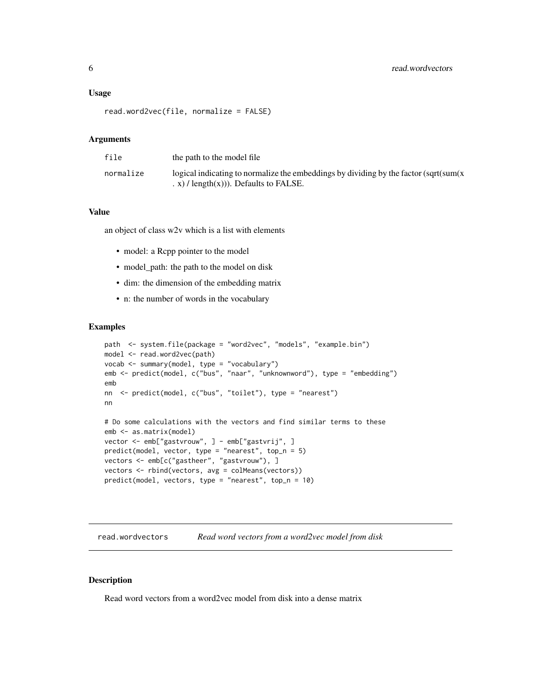#### <span id="page-5-0"></span>Usage

```
read.word2vec(file, normalize = FALSE)
```
#### **Arguments**

| file      | the path to the model file                                                                                                                   |
|-----------|----------------------------------------------------------------------------------------------------------------------------------------------|
| normalize | logical indicating to normalize the embeddings by dividing by the factor $\sqrt{\sqrt{g(t)}}$<br>$(x)$ / length $(x)$ )). Defaults to FALSE. |

#### Value

an object of class w2v which is a list with elements

- model: a Rcpp pointer to the model
- model\_path: the path to the model on disk
- dim: the dimension of the embedding matrix
- n: the number of words in the vocabulary

## Examples

```
path <- system.file(package = "word2vec", "models", "example.bin")
model <- read.word2vec(path)
vocab <- summary(model, type = "vocabulary")
emb <- predict(model, c("bus", "naar", "unknownword"), type = "embedding")
emb
nn <- predict(model, c("bus", "toilet"), type = "nearest")
nn
# Do some calculations with the vectors and find similar terms to these
emb <- as.matrix(model)
vector <- emb["gastvrouw", ] - emb["gastvrij", ]
predict(model, vector, type = "nearest", top_n = 5)
vectors <- emb[c("gastheer", "gastvrouw"), ]
vectors <- rbind(vectors, avg = colMeans(vectors))
predict(model, vectors, type = "nearest", top_n = 10)
```
read.wordvectors *Read word vectors from a word2vec model from disk*

#### Description

Read word vectors from a word2vec model from disk into a dense matrix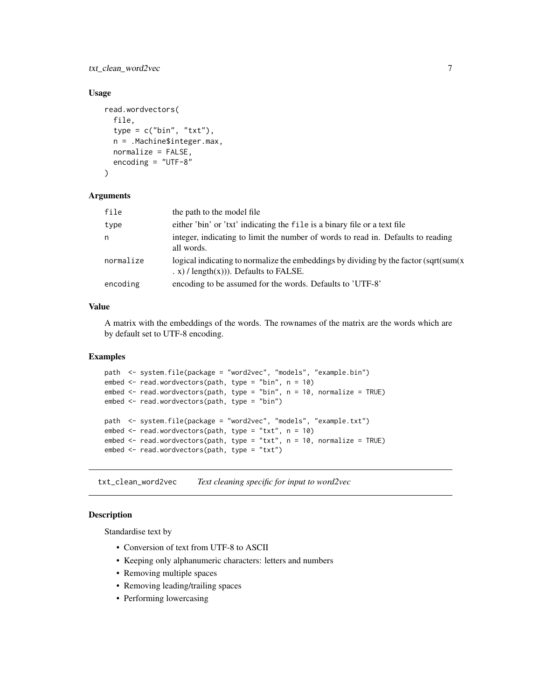<span id="page-6-0"></span>txt\_clean\_word2vec 7

## Usage

```
read.wordvectors(
  file,
  type = c("bin", "txt"),n = .Machine$integer.max,
 normalize = FALSE,
 encoding = "UTF-8"
)
```
#### **Arguments**

| file      | the path to the model file                                                                                                                         |
|-----------|----------------------------------------------------------------------------------------------------------------------------------------------------|
| type      | either 'bin' or 'txt' indicating the file is a binary file or a text file                                                                          |
| n         | integer, indicating to limit the number of words to read in. Defaults to reading<br>all words.                                                     |
| normalize | logical indicating to normalize the embeddings by dividing by the factor $\sqrt{\sqrt{\arctan(x)}}$<br>$(x)$ / length $(x)$ )). Defaults to FALSE. |
| encoding  | encoding to be assumed for the words. Defaults to 'UTF-8'                                                                                          |

## Value

A matrix with the embeddings of the words. The rownames of the matrix are the words which are by default set to UTF-8 encoding.

#### Examples

```
path <- system.file(package = "word2vec", "models", "example.bin")
embed \le- read.wordvectors(path, type = "bin", n = 10)
embed <- read.wordvectors(path, type = "bin", n = 10, normalize = TRUE)
embed <- read.wordvectors(path, type = "bin")
path <- system.file(package = "word2vec", "models", "example.txt")
embed <- read.wordvectors(path, type = "txt", n = 10)
embed <- read.wordvectors(path, type = "txt", n = 10, normalize = TRUE)
embed <- read.wordvectors(path, type = "txt")
```
txt\_clean\_word2vec *Text cleaning specific for input to word2vec*

## Description

Standardise text by

- Conversion of text from UTF-8 to ASCII
- Keeping only alphanumeric characters: letters and numbers
- Removing multiple spaces
- Removing leading/trailing spaces
- Performing lowercasing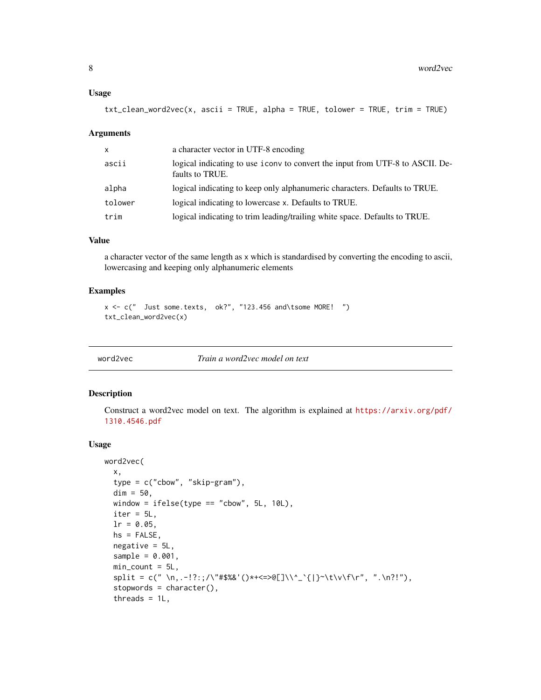#### <span id="page-7-0"></span>Usage

txt\_clean\_word2vec(x, ascii = TRUE, alpha = TRUE, tolower = TRUE, trim = TRUE)

#### Arguments

| $\mathsf{x}$ | a character vector in UTF-8 encoding                                                              |
|--------------|---------------------------------------------------------------------------------------------------|
| ascii        | logical indicating to use i conv to convert the input from UTF-8 to ASCII. De-<br>faults to TRUE. |
| alpha        | logical indicating to keep only alphanumeric characters. Defaults to TRUE.                        |
| tolower      | logical indicating to lowercase x. Defaults to TRUE.                                              |
| trim         | logical indicating to trim leading/trailing white space. Defaults to TRUE.                        |

#### Value

a character vector of the same length as x which is standardised by converting the encoding to ascii, lowercasing and keeping only alphanumeric elements

## Examples

```
x \leq -c (" Just some.texts, ok?", "123.456 and\tsome MORE! ")
txt_clean_word2vec(x)
```
<span id="page-7-1"></span>

word2vec *Train a word2vec model on text*

## Description

Construct a word2vec model on text. The algorithm is explained at [https://arxiv.org/pdf/](https://arxiv.org/pdf/1310.4546.pdf) [1310.4546.pdf](https://arxiv.org/pdf/1310.4546.pdf)

#### Usage

```
word2vec(
 x,
  type = c("cbow", "skip-gram"),
 dim = 50,
 window = ifelse(type == "cbow", 5L, 10L),
  iter = 5L,
  lr = 0.05,hs = FALSE,
 negative = 5L,
  sample = 0.001,min\_count = 5L,
  split = c(" \n\cdot \n\cdot -!!:;/\"#$%&'()*+<=>@[]\\^_`{|}~\t\v\f\r", ".\n?!"),
  stopwords = character(),
  threads = 1L,
```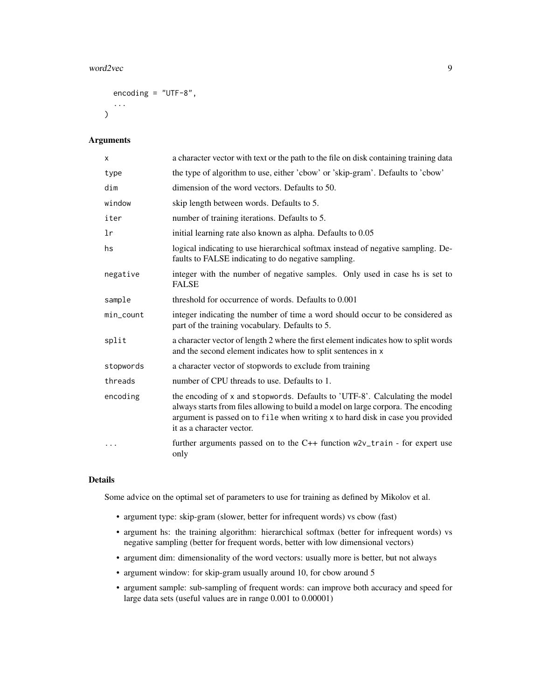#### word2vec 9

```
encoding = "UTF-8",...
\mathcal{L}
```
## Arguments

| X            | a character vector with text or the path to the file on disk containing training data                                                                                                                                                                                           |
|--------------|---------------------------------------------------------------------------------------------------------------------------------------------------------------------------------------------------------------------------------------------------------------------------------|
| type         | the type of algorithm to use, either 'cbow' or 'skip-gram'. Defaults to 'cbow'                                                                                                                                                                                                  |
| dim          | dimension of the word vectors. Defaults to 50.                                                                                                                                                                                                                                  |
| window       | skip length between words. Defaults to 5.                                                                                                                                                                                                                                       |
| iter         | number of training iterations. Defaults to 5.                                                                                                                                                                                                                                   |
| lr           | initial learning rate also known as alpha. Defaults to 0.05                                                                                                                                                                                                                     |
| hs           | logical indicating to use hierarchical softmax instead of negative sampling. De-<br>faults to FALSE indicating to do negative sampling.                                                                                                                                         |
| negative     | integer with the number of negative samples. Only used in case hs is set to<br><b>FALSE</b>                                                                                                                                                                                     |
| sample       | threshold for occurrence of words. Defaults to 0.001                                                                                                                                                                                                                            |
| $min\_count$ | integer indicating the number of time a word should occur to be considered as<br>part of the training vocabulary. Defaults to 5.                                                                                                                                                |
| split        | a character vector of length 2 where the first element indicates how to split words<br>and the second element indicates how to split sentences in x                                                                                                                             |
| stopwords    | a character vector of stopwords to exclude from training                                                                                                                                                                                                                        |
| threads      | number of CPU threads to use. Defaults to 1.                                                                                                                                                                                                                                    |
| encoding     | the encoding of x and stopwords. Defaults to 'UTF-8'. Calculating the model<br>always starts from files allowing to build a model on large corpora. The encoding<br>argument is passed on to file when writing x to hard disk in case you provided<br>it as a character vector. |
| $\cdots$     | further arguments passed on to the $C++$ function $w2v_t$ train - for expert use<br>only                                                                                                                                                                                        |

#### Details

Some advice on the optimal set of parameters to use for training as defined by Mikolov et al.

- argument type: skip-gram (slower, better for infrequent words) vs cbow (fast)
- argument hs: the training algorithm: hierarchical softmax (better for infrequent words) vs negative sampling (better for frequent words, better with low dimensional vectors)
- argument dim: dimensionality of the word vectors: usually more is better, but not always
- argument window: for skip-gram usually around 10, for cbow around 5
- argument sample: sub-sampling of frequent words: can improve both accuracy and speed for large data sets (useful values are in range 0.001 to 0.00001)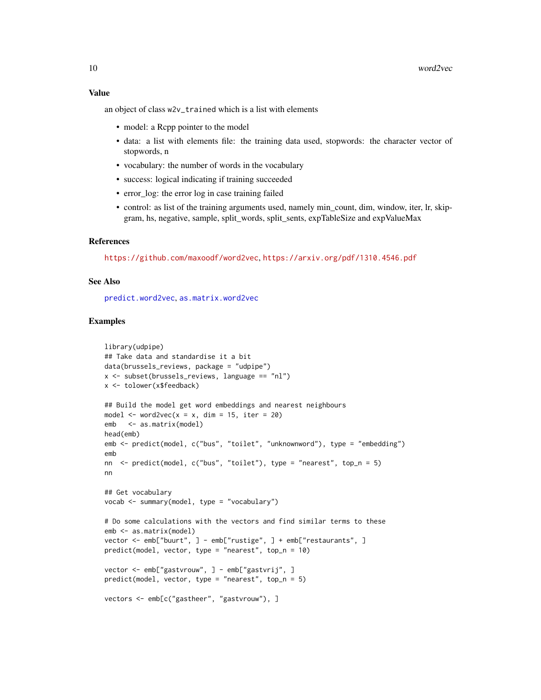#### <span id="page-9-0"></span>Value

an object of class w2v\_trained which is a list with elements

- model: a Rcpp pointer to the model
- data: a list with elements file: the training data used, stopwords: the character vector of stopwords, n
- vocabulary: the number of words in the vocabulary
- success: logical indicating if training succeeded
- error\_log: the error log in case training failed
- control: as list of the training arguments used, namely min\_count, dim, window, iter, lr, skipgram, hs, negative, sample, split\_words, split\_sents, expTableSize and expValueMax

#### References

<https://github.com/maxoodf/word2vec>, <https://arxiv.org/pdf/1310.4546.pdf>

#### See Also

[predict.word2vec](#page-3-1), [as.matrix.word2vec](#page-1-1)

```
library(udpipe)
## Take data and standardise it a bit
data(brussels_reviews, package = "udpipe")
x \le - subset(brussels_reviews, language == "nl")
x <- tolower(x$feedback)
## Build the model get word embeddings and nearest neighbours
model \le word2vec(x = x, dim = 15, iter = 20)
emb <- as.matrix(model)
head(emb)
emb <- predict(model, c("bus", "toilet", "unknownword"), type = "embedding")
emb
nn <- predict(model, c("bus", "toilet"), type = "nearest", top_n = 5)
nn
## Get vocabulary
vocab <- summary(model, type = "vocabulary")
# Do some calculations with the vectors and find similar terms to these
emb <- as.matrix(model)
vector <- emb["buurt", ] - emb["rustige", ] + emb["restaurants", ]
predict(model, vector, type = "nearest", top_n = 10)
vector <- emb["gastvrouw", ] - emb["gastvrij", ]
predict(model, vector, type = "nearest", top_n = 5)
vectors <- emb[c("gastheer", "gastvrouw"), ]
```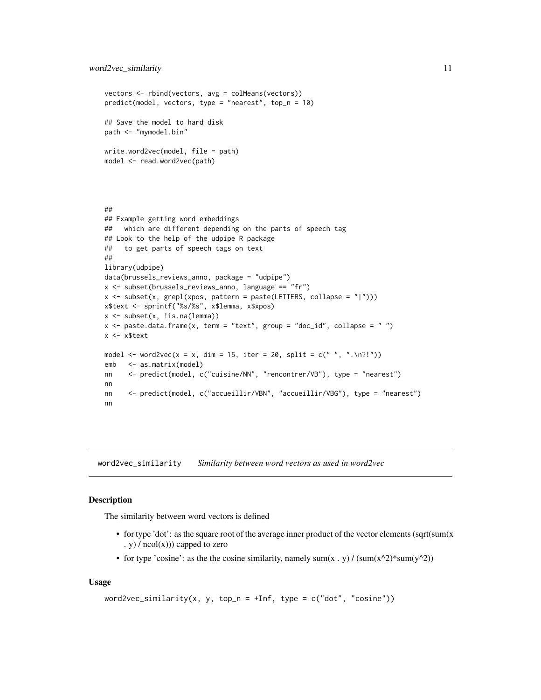```
vectors <- rbind(vectors, avg = colMeans(vectors))
predict(model, vectors, type = "nearest", top_n = 10)
## Save the model to hard disk
path <- "mymodel.bin"
write.word2vec(model, file = path)
model <- read.word2vec(path)
##
## Example getting word embeddings
## which are different depending on the parts of speech tag
## Look to the help of the udpipe R package
## to get parts of speech tags on text
##
library(udpipe)
data(brussels_reviews_anno, package = "udpipe")
x <- subset(brussels_reviews_anno, language == "fr")
x \le subset(x, grepl(xpos, pattern = paste(LETTERS, collapse = "|")))
x$text <- sprintf("%s/%s", x$lemma, x$xpos)
x <- subset(x, !is.na(lemma))
x <- paste.data.frame(x, term = "text", group = "doc_id", collapse = "")
x <- x$text
model \leq word2vec(x = x, dim = 15, iter = 20, split = c(" ", ".\n?!"))
emb <- as.matrix(model)
nn <- predict(model, c("cuisine/NN", "rencontrer/VB"), type = "nearest")
nn
nn <- predict(model, c("accueillir/VBN", "accueillir/VBG"), type = "nearest")
nn
```
word2vec\_similarity *Similarity between word vectors as used in word2vec*

#### **Description**

The similarity between word vectors is defined

- for type 'dot': as the square root of the average inner product of the vector elements (sqrt(sum(x . y)  $/$  ncol(x))) capped to zero
- for type 'cosine': as the the cosine similarity, namely sum(x . y) / (sum(x^2)\*sum(y^2))

#### Usage

```
word2vec_similarity(x, y, top_n = +Inf, type = c("dot", "cosine"))
```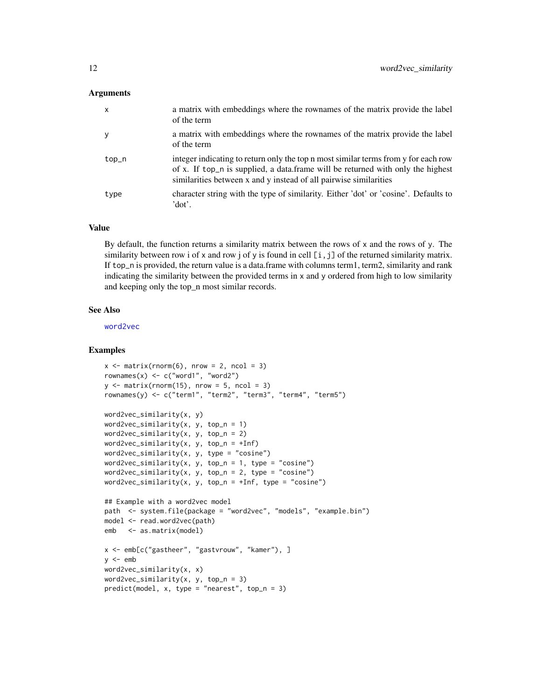#### <span id="page-11-0"></span>Arguments

| $\mathsf{x}$ | a matrix with embeddings where the rownames of the matrix provide the label<br>of the term                                                                                                                                                 |
|--------------|--------------------------------------------------------------------------------------------------------------------------------------------------------------------------------------------------------------------------------------------|
| y            | a matrix with embeddings where the rownames of the matrix provide the label<br>of the term                                                                                                                                                 |
| top_n        | integer indicating to return only the top n most similar terms from y for each row<br>of x. If top_n is supplied, a data.frame will be returned with only the highest<br>similarities between x and y instead of all pairwise similarities |
| type         | character string with the type of similarity. Either 'dot' or 'cosine'. Defaults to<br>'dot'.                                                                                                                                              |

#### Value

By default, the function returns a similarity matrix between the rows of  $x$  and the rows of  $y$ . The similarity between row i of x and row j of y is found in cell  $[i, j]$  of the returned similarity matrix. If top\_n is provided, the return value is a data.frame with columns term1, term2, similarity and rank indicating the similarity between the provided terms in x and y ordered from high to low similarity and keeping only the top\_n most similar records.

#### See Also

[word2vec](#page-7-1)

```
x \le - matrix(rnorm(6), nrow = 2, ncol = 3)
rownames(x) \leq c("word1", "word2")
y \le - matrix(rnorm(15), nrow = 5, ncol = 3)
rownames(y) <- c("term1", "term2", "term3", "term4", "term5")
word2vec_similarity(x, y)
word2vec_similarity(x, y, top_n = 1)
word2vec_similarity(x, y, top_n = 2)
word2vec_similarity(x, y, top_n = +Inf)
word2vec_similarity(x, y, type = "cosine")
word2vec\_similarity(x, y, top_n = 1, type = "cosine")word2vec_similarity(x, y, top_n = 2, type = "cosine")
word2vec_similarity(x, y, top_n = +Inf, type = "cosine")
## Example with a word2vec model
path <- system.file(package = "word2vec", "models", "example.bin")
model <- read.word2vec(path)
emb <- as.matrix(model)
x <- emb[c("gastheer", "gastvrouw", "kamer"), ]
y \le - emb
word2vec_similarity(x, x)
word2vec_similarity(x, y, top_n = 3)
predict(model, x, type = "nearest", top_n = 3)
```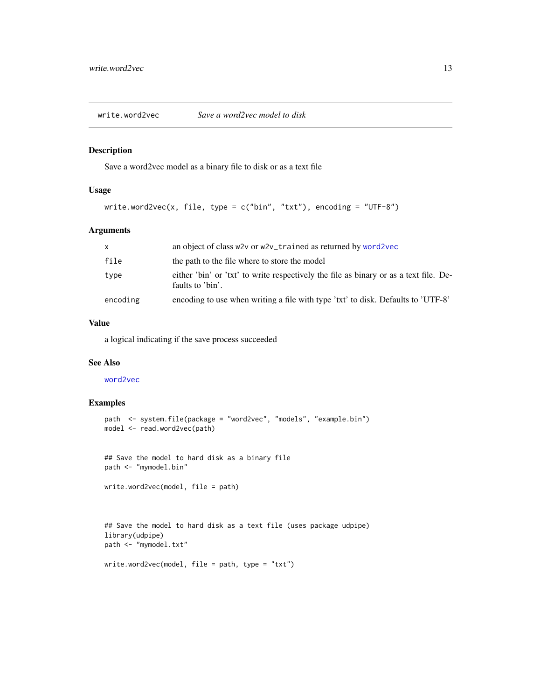<span id="page-12-0"></span>write.word2vec *Save a word2vec model to disk*

## Description

Save a word2vec model as a binary file to disk or as a text file

## Usage

write.word2vec(x, file, type = c("bin", "txt"), encoding = "UTF-8")

## Arguments

| X        | an object of class w2v or w2v_trained as returned by word2vec                                             |
|----------|-----------------------------------------------------------------------------------------------------------|
| file     | the path to the file where to store the model                                                             |
| type     | either 'bin' or 'txt' to write respectively the file as binary or as a text file. De-<br>faults to 'bin'. |
| encoding | encoding to use when writing a file with type 'txt' to disk. Defaults to 'UTF-8'                          |

## Value

a logical indicating if the save process succeeded

## See Also

[word2vec](#page-7-1)

#### Examples

```
path <- system.file(package = "word2vec", "models", "example.bin")
model <- read.word2vec(path)
```
## Save the model to hard disk as a binary file path <- "mymodel.bin"

write.word2vec(model, file = path)

```
## Save the model to hard disk as a text file (uses package udpipe)
library(udpipe)
path <- "mymodel.txt"
```

```
write.word2vec(model, file = path, type = "txt")
```